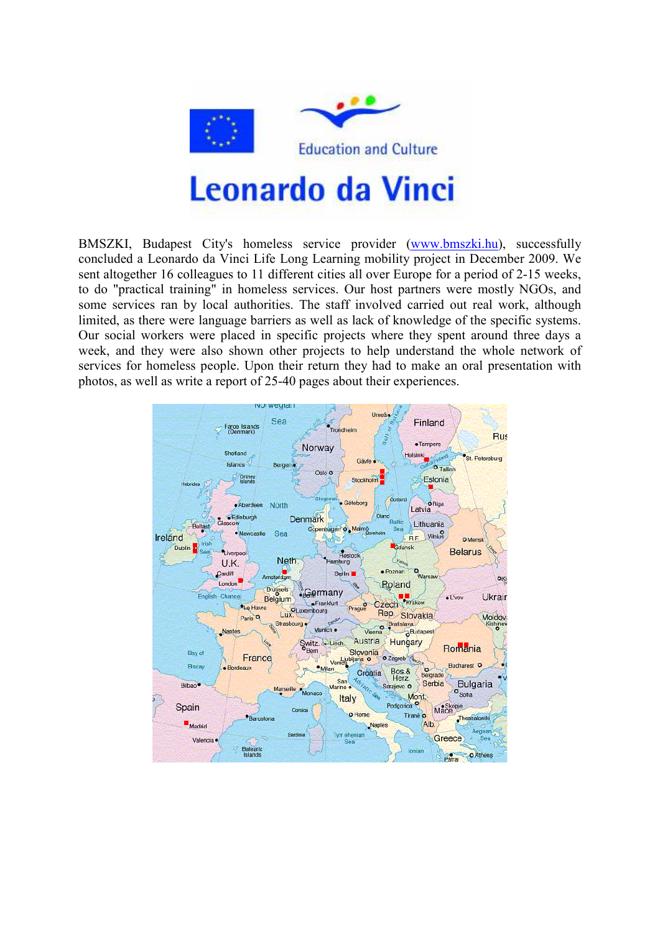

BMSZKI, Budapest City's homeless service provider (www.bmszki.hu), successfully concluded a Leonardo da Vinci Life Long Learning mobility project in December 2009. We sent altogether 16 colleagues to 11 different cities all over Europe for a period of 2-15 weeks, to do "practical training" in homeless services. Our host partners were mostly NGOs, and some services ran by local authorities. The staff involved carried out real work, although limited, as there were language barriers as well as lack of knowledge of the specific systems. Our social workers were placed in specific projects where they spent around three days a week, and they were also shown other projects to help understand the whole network of services for homeless people. Upon their return they had to make an oral presentation with photos, as well as write a report of 25-40 pages about their experiences.